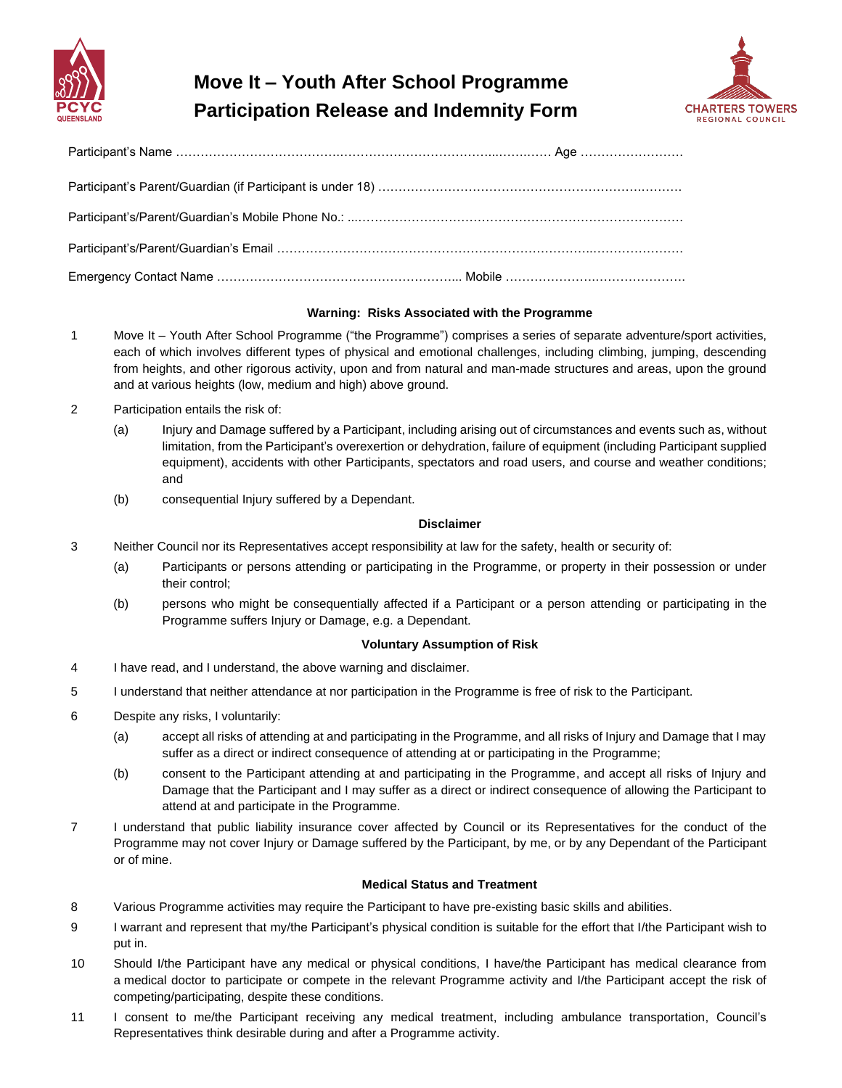

# **Move It – Youth After School Programme Participation Release and Indemnity Form**



## **Warning: Risks Associated with the Programme**

- 1 Move It Youth After School Programme ("the Programme") comprises a series of separate adventure/sport activities, each of which involves different types of physical and emotional challenges, including climbing, jumping, descending from heights, and other rigorous activity, upon and from natural and man-made structures and areas, upon the ground and at various heights (low, medium and high) above ground.
- 2 Participation entails the risk of:
	- (a) Injury and Damage suffered by a Participant, including arising out of circumstances and events such as, without limitation, from the Participant's overexertion or dehydration, failure of equipment (including Participant supplied equipment), accidents with other Participants, spectators and road users, and course and weather conditions; and
	- (b) consequential Injury suffered by a Dependant.

## **Disclaimer**

- 3 Neither Council nor its Representatives accept responsibility at law for the safety, health or security of:
	- (a) Participants or persons attending or participating in the Programme, or property in their possession or under their control;
	- (b) persons who might be consequentially affected if a Participant or a person attending or participating in the Programme suffers Injury or Damage, e.g. a Dependant.

## **Voluntary Assumption of Risk**

- 4 I have read, and I understand, the above warning and disclaimer.
- 5 I understand that neither attendance at nor participation in the Programme is free of risk to the Participant.
- 6 Despite any risks, I voluntarily:
	- (a) accept all risks of attending at and participating in the Programme, and all risks of Injury and Damage that I may suffer as a direct or indirect consequence of attending at or participating in the Programme;
	- (b) consent to the Participant attending at and participating in the Programme, and accept all risks of Injury and Damage that the Participant and I may suffer as a direct or indirect consequence of allowing the Participant to attend at and participate in the Programme.
- 7 I understand that public liability insurance cover affected by Council or its Representatives for the conduct of the Programme may not cover Injury or Damage suffered by the Participant, by me, or by any Dependant of the Participant or of mine.

## **Medical Status and Treatment**

- 8 Various Programme activities may require the Participant to have pre-existing basic skills and abilities.
- 9 I warrant and represent that my/the Participant's physical condition is suitable for the effort that I/the Participant wish to put in.
- 10 Should I/the Participant have any medical or physical conditions, I have/the Participant has medical clearance from a medical doctor to participate or compete in the relevant Programme activity and I/the Participant accept the risk of competing/participating, despite these conditions.
- 11 I consent to me/the Participant receiving any medical treatment, including ambulance transportation, Council's Representatives think desirable during and after a Programme activity.